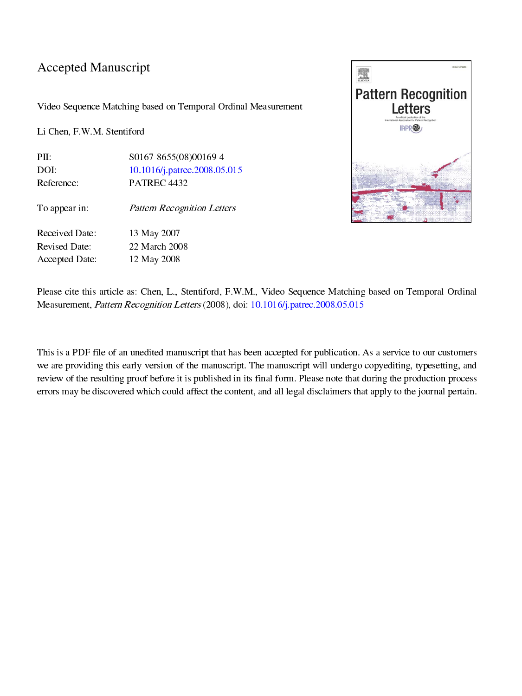## Accepted Manuscript

Video Sequence Matching based on Temporal Ordinal Measurement

Li Chen, F.W.M. Stentiford

PII: S0167-8655(08)00169-4<br>DOI: 10.1016/j.patrec.2008.05 DOI: [10.1016/j.patrec.2008.05.015](http://dx.doi.org/10.1016/j.patrec.2008.05.015) Reference: PATREC 4432

To appear in: **Pattern Recognition Letters** 

Received Date: 13 May 2007 Revised Date: 22 March 2008 Accepted Date: 12 May 2008



Please cite this article as: Chen, L., Stentiford, F.W.M., Video Sequence Matching based on Temporal Ordinal Measurement, *Pattern Recognition Letters* (2008), doi: 10.1016/j.patrec.2008.05.015

13 May 2007<br>22 March 2008<br>12 May 2008<br>12 May 2008<br>States: Chen, L., Stentiford, F.V.<br>Recognition Letters (2008), a<br>unedited manuscript that has<br>the strategy version of the manuscription<br>of before it is published if which c Measurement, *Pattern Recognition Letters* (2008), doi: [10.1016/j.patrec.2008.05.015](http://dx.doi.org/10.1016/j.patrec.2008.05.015)<br>This is a PDF file of an unedited manuscript that has been accepted for publication.<br>we are providing this early version of the manuscrip This is a PDF file of an unedited manuscript that has been accepted for publication. As a service to our customers we are providing this early version of the manuscript. The manuscript will undergo copyediting, typesetting, and review of the resulting proof before it is published in its final form. Please note that during the production process errors may be discovered which could affect the content, and all legal disclaimers that apply to the journal pertain.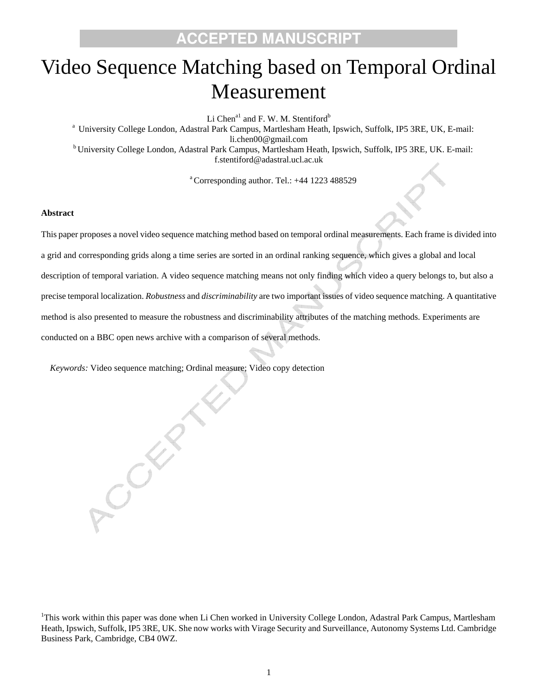# Video Sequence Matching based on Temporal Ordinal Measurement

Li Chen<sup>a1</sup> and F. W. M. Stentiford<sup>b</sup>

a University College London, Adastral Park Campus, Martlesham Heath, Ipswich, Suffolk, IP5 3RE, UK, E-mail: li.chen00@gmail.com<br><sup>b</sup> University College London, Adastral Park Campus, Martlesham Heath, Ipswich, Suffolk, IP5 3RE, UK. E-mail: f.stentiford@adastral.ucl.ac.uk

 $^{\circ}$ Corresponding author. Tel.:  $+44$  1223 488529

#### **Abstract**

This paper proposes a novel video sequence matching method based on temporal ordinal measurements. Each frame is divided into a grid and corresponding grids along a time series are sorted in an ordinal ranking sequence, which gives a global and local description of temporal variation. A video sequence matching means not only finding which video a query belongs to, but also a precise temporal localization. *Robustness* and *discriminability* are two important issues of video sequence matching. A quantitative method is also presented to measure the robustness and discriminability attributes of the matching methods. Experiments are conducted on a BBC open news archive with a comparison of several methods.

*Keywords:* Video sequence matching; Ordinal measure; Video copy detection

CSER

<sup>1</sup>This work within this paper was done when Li Chen worked in University College London, Adastral Park Campus, Martlesham Heath, Ipswich, Suffolk, IP5 3RE, UK. She now works with Virage Security and Surveillance, Autonomy Systems Ltd. Cambridge Business Park, Cambridge, CB4 0WZ.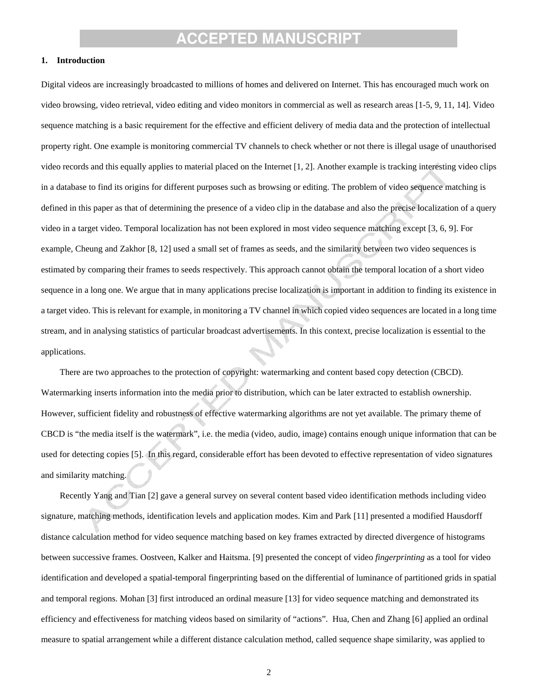#### **1. Introduction**

Digital videos are increasingly broadcasted to millions of homes and delivered on Internet. This has encouraged much work on video browsing, video retrieval, video editing and video monitors in commercial as well as research areas [1-5, 9, 11, 14]. Video sequence matching is a basic requirement for the effective and efficient delivery of media data and the protection of intellectual property right. One example is monitoring commercial TV channels to check whether or not there is illegal usage of unauthorised video records and this equally applies to material placed on the Internet [1, 2]. Another example is tracking interesting video clips in a database to find its origins for different purposes such as browsing or editing. The problem of video sequence matching is defined in this paper as that of determining the presence of a video clip in the database and also the precise localization of a query video in a target video. Temporal localization has not been explored in most video sequence matching except [3, 6, 9]. For example, Cheung and Zakhor [8, 12] used a small set of frames as seeds, and the similarity between two video sequences is estimated by comparing their frames to seeds respectively. This approach cannot obtain the temporal location of a short video sequence in a long one. We argue that in many applications precise localization is important in addition to finding its existence in a target video. This is relevant for example, in monitoring a TV channel in which copied video sequences are located in a long time stream, and in analysing statistics of particular broadcast advertisements. In this context, precise localization is essential to the applications.

There are two approaches to the protection of copyright: watermarking and content based copy detection (CBCD). Watermarking inserts information into the media prior to distribution, which can be later extracted to establish ownership. However, sufficient fidelity and robustness of effective watermarking algorithms are not yet available. The primary theme of CBCD is "the media itself is the watermark", i.e. the media (video, audio, image) contains enough unique information that can be used for detecting copies [5]. In this regard, considerable effort has been devoted to effective representation of video signatures and similarity matching.

Recently Yang and Tian [2] gave a general survey on several content based video identification methods including video signature, matching methods, identification levels and application modes. Kim and Park [11] presented a modified Hausdorff distance calculation method for video sequence matching based on key frames extracted by directed divergence of histograms between successive frames. Oostveen, Kalker and Haitsma. [9] presented the concept of video *fingerprinting* as a tool for video identification and developed a spatial-temporal fingerprinting based on the differential of luminance of partitioned grids in spatial and temporal regions. Mohan [3] first introduced an ordinal measure [13] for video sequence matching and demonstrated its efficiency and effectiveness for matching videos based on similarity of "actions". Hua, Chen and Zhang [6] applied an ordinal measure to spatial arrangement while a different distance calculation method, called sequence shape similarity, was applied to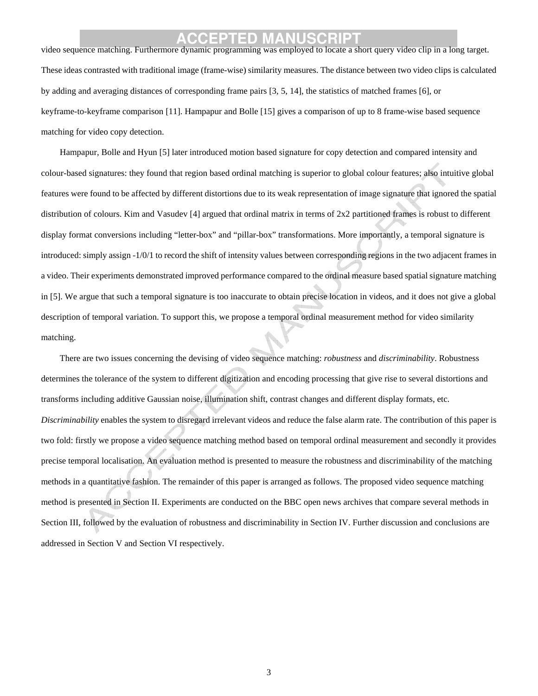## **ACCEPTED MANUSCRIPT**<br>Video sequence matching. Furthermore dynamic programming was employed to locate a short query video clip in a long target.

These ideas contrasted with traditional image (frame-wise) similarity measures. The distance between two video clips is calculated by adding and averaging distances of corresponding frame pairs [3, 5, 14], the statistics of matched frames [6], or keyframe-to-keyframe comparison [11]. Hampapur and Bolle [15] gives a comparison of up to 8 frame-wise based sequence matching for video copy detection.

Hampapur, Bolle and Hyun [5] later introduced motion based signature for copy detection and compared intensity and colour-based signatures: they found that region based ordinal matching is superior to global colour features; also intuitive global features were found to be affected by different distortions due to its weak representation of image signature that ignored the spatial distribution of colours. Kim and Vasudev [4] argued that ordinal matrix in terms of 2x2 partitioned frames is robust to different display format conversions including "letter-box" and "pillar-box" transformations. More importantly, a temporal signature is introduced: simply assign -1/0/1 to record the shift of intensity values between corresponding regions in the two adjacent frames in a video. Their experiments demonstrated improved performance compared to the ordinal measure based spatial signature matching in [5]. We argue that such a temporal signature is too inaccurate to obtain precise location in videos, and it does not give a global description of temporal variation. To support this, we propose a temporal ordinal measurement method for video similarity matching.

There are two issues concerning the devising of video sequence matching: *robustness* and *discriminability*. Robustness determines the tolerance of the system to different digitization and encoding processing that give rise to several distortions and transforms including additive Gaussian noise, illumination shift, contrast changes and different display formats, etc. *Discriminability* enables the system to disregard irrelevant videos and reduce the false alarm rate. The contribution of this paper is two fold: firstly we propose a video sequence matching method based on temporal ordinal measurement and secondly it provides precise temporal localisation. An evaluation method is presented to measure the robustness and discriminability of the matching methods in a quantitative fashion. The remainder of this paper is arranged as follows. The proposed video sequence matching method is presented in Section II. Experiments are conducted on the BBC open news archives that compare several methods in Section III, followed by the evaluation of robustness and discriminability in Section IV. Further discussion and conclusions are addressed in Section V and Section VI respectively.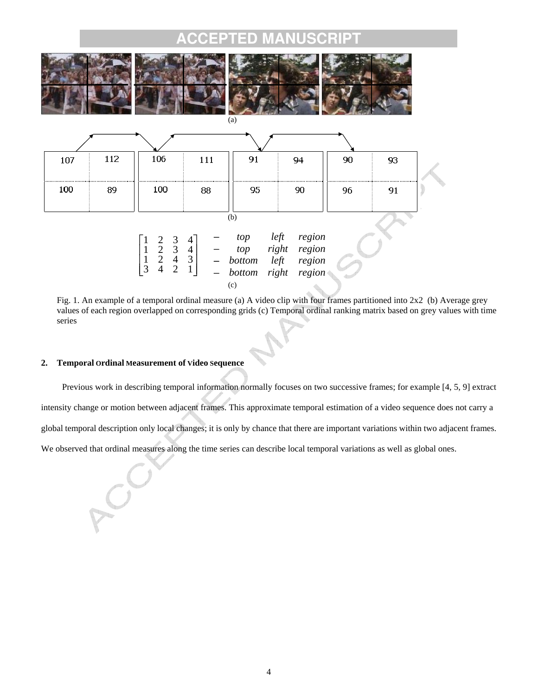

Fig. 1. An example of a temporal ordinal measure (a) A video clip with four frames partitioned into 2x2 (b) Average grey values of each region overlapped on corresponding grids (c) Temporal ordinal ranking matrix based on grey values with time series

### **2. Temporal Ordinal Measurement of Video Sequence**

 Previous work in describing temporal information normally focuses on two successive frames; for example [4, 5, 9] extract intensity change or motion between adjacent frames. This approximate temporal estimation of a video sequence does not carry a global temporal description only local changes; it is only by chance that there are important variations within two adjacent frames. We observed that ordinal measures along the time series can describe local temporal variations as well as global ones.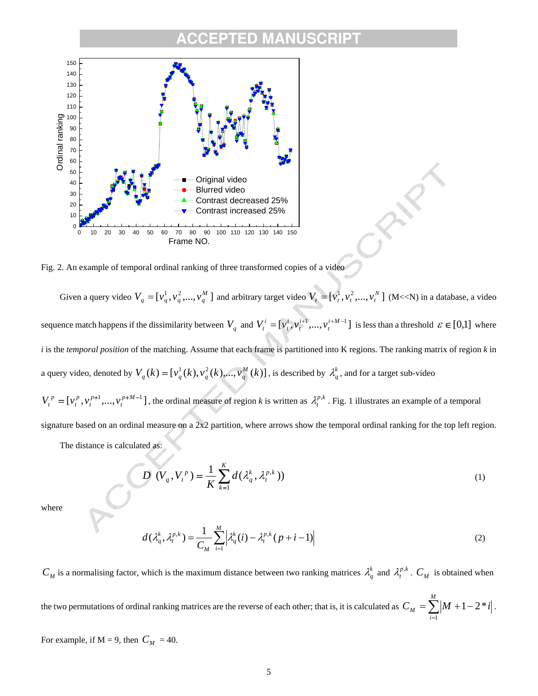

Fig. 2. An example of temporal ordinal ranking of three transformed copies of a video

Given a query video  $V_q = [v_q^1, v_q^2, ..., v_q^M]$  and arbitrary target video  $V_t = [v_t^1, v_t^2, ..., v_t^N]$  (M<<N) in a database, a video sequence match happens if the dissimilarity between  $V_q$  and  $V_t^i = [v_t^i, v_t^{i+1}, ..., v_t^{i+M-1}]$ *i t i t*  $V_t^i = [v_t^i, v_t^{i+1}, ..., v_t^{i+M-1}]$  is less than a threshold  $\varepsilon \in [0,1]$  where *i* is the *temporal position* of the matching. Assume that each frame is partitioned into K regions. The ranking matrix of region *k* in a query video, denoted by  $V_q(k) = [v_q^1(k), v_q^2(k),...,v_q^M(k)]$ , is described by  $\lambda_q^k$ , and for a target sub-video  $=[v_t^p, v_t^{p+1}, ..., v_t^{p+M-1}]$ *p t p t*  $V_t^p = [v_t^p, v_t^{p+1}, \dots, v_t^{p+M-1}]$ , the ordinal measure of region *k* is written as  $\lambda_t^{p,k}$ . Fig. 1 illustrates an example of a temporal

signature based on an ordinal measure on a 2x2 partition, where arrows show the temporal ordinal ranking for the top left region.

The distance is calculated as:

$$
D\left(V_q, V_t^p\right) = \frac{1}{K} \sum_{k=1}^K d(\lambda_q^k, \lambda_t^{p,k})
$$
\n(1)

where

$$
d(\lambda_q^k, \lambda_l^{p,k}) = \frac{1}{C_M} \sum_{i=1}^M \left| \lambda_q^k(i) - \lambda_l^{p,k}(p+i-1) \right| \tag{2}
$$

 $C_M$  is a normalising factor, which is the maximum distance between two ranking matrices  $\lambda_q^k$  and  $\lambda_t^{p,k}$ .  $C_M$  is obtained when the two permutations of ordinal ranking matrices are the reverse of each other; that is, it is calculated as  $C_M = \sum_{i=1}^{\infty} \vert M + 1 -$ *M i*  $C_M = \sum_{i=1}^{M} (M + 1 - 2 \cdot i)$ 1  $1 - 2 * i$ . For example, if  $M = 9$ , then  $C_M = 40$ .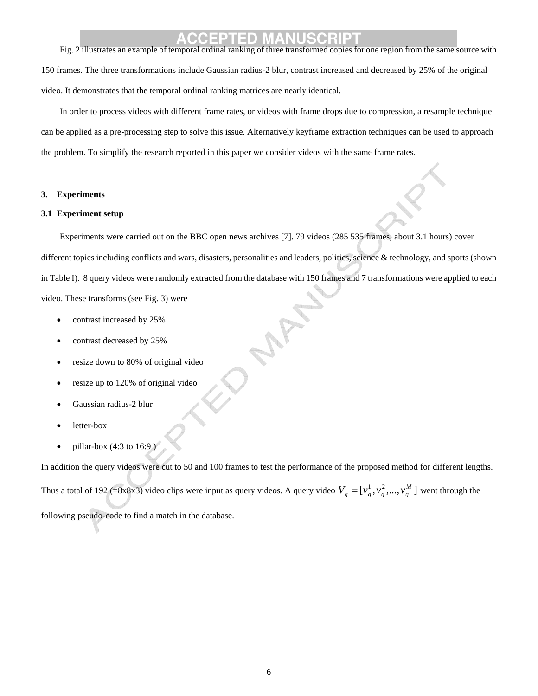# **ACCEPTED MANUSCRIPT** Fig. 2 illustrates an example of temporal ordinal ranking of three transformed copies for one region from the same source with

150 frames. The three transformations include Gaussian radius-2 blur, contrast increased and decreased by 25% of the original video. It demonstrates that the temporal ordinal ranking matrices are nearly identical.

In order to process videos with different frame rates, or videos with frame drops due to compression, a resample technique can be applied as a pre-processing step to solve this issue. Alternatively keyframe extraction techniques can be used to approach the problem. To simplify the research reported in this paper we consider videos with the same frame rates.

#### **3. Experiments**

#### **3.1 Experiment setup**

Experiments were carried out on the BBC open news archives [7]. 79 videos (285 535 frames, about 3.1 hours) cover different topics including conflicts and wars, disasters, personalities and leaders, politics, science & technology, and sports (shown in Table I). 8 query videos were randomly extracted from the database with 150 frames and 7 transformations were applied to each video. These transforms (see Fig. 3) were

- contrast increased by 25%
- contrast decreased by 25%
- resize down to 80% of original video
- resize up to 120% of original video
- Gaussian radius-2 blur
- letter-box
- pillar-box (4:3 to 16:9 )

In addition the query videos were cut to 50 and 100 frames to test the performance of the proposed method for different lengths.

Thus a total of 192 (=8x8x3) video clips were input as query videos. A query video  $V_q = [v_q^1, v_q^2, ..., v_q^M]$  went through the

following pseudo-code to find a match in the database.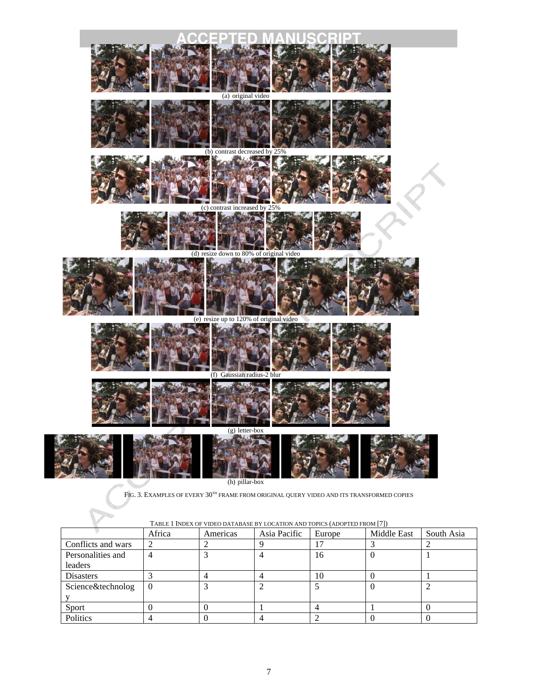

FIG. 3. EXAMPLES OF EVERY  $30^{th}$  FRAME FROM ORIGINAL QUERY VIDEO AND ITS TRANSFORMED COPIES

| 1.001              |          |          |              |        |             |            |
|--------------------|----------|----------|--------------|--------|-------------|------------|
|                    | Africa   | Americas | Asia Pacific | Europe | Middle East | South Asia |
| Conflicts and wars |          |          |              | רו     |             |            |
| Personalities and  |          |          |              | 16     |             |            |
| leaders            |          |          |              |        |             |            |
| <b>Disasters</b>   |          |          |              | 10     |             |            |
| Science&technolog  | $\Omega$ |          |              |        |             |            |
|                    |          |          |              |        |             |            |
| Sport              |          |          |              |        |             |            |
| Politics           |          |          |              |        |             |            |

TABLE 1 INDEX OF VIDEO DATABASE BY LOCATION AND TOPICS (ADOPTED FROM [7])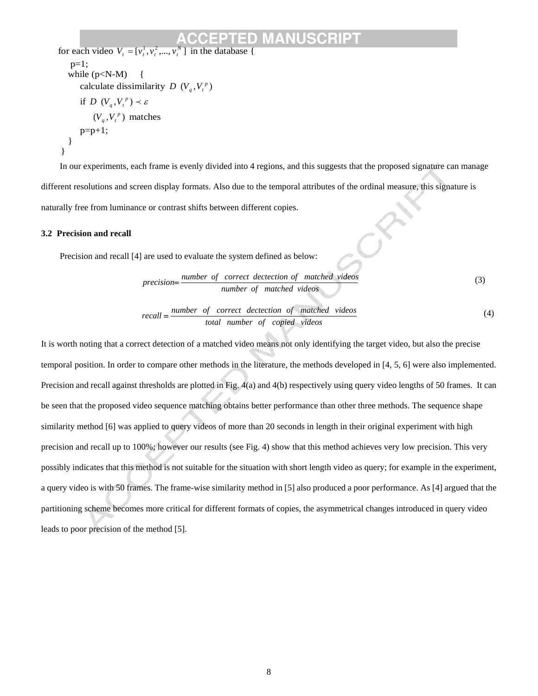```
for each video V_t = [v_t^1, v_t^2, ..., v_t^N] in the database {
        p=1;
        while (p < N-M) {
           calculate dissimilarity D(V_q, V_t^p)if D(V_q, V_t^p) \prec \varepsilon(V_a, V_t^p) matches
           p=p+1;
         } 
      }
```
In our experiments, each frame is evenly divided into 4 regions, and this suggests that the proposed signature can manage different resolutions and screen display formats. Also due to the temporal attributes of the ordinal measure, this signature is naturally free from luminance or contrast shifts between different copies.

#### **3.2 Precision and recall**

Precision and recall [4] are used to evaluate the system defined as below:

$$
precision = \frac{number\ of\ correct\ detection\ of\ matched\ videos}{number\ of\ matched\ videos}
$$
\n(3)

$$
recall = \frac{number \ of \ correct \ detection \ of \ matched \ videos}{total \ number \ of \ copied \ videos}
$$
\n
$$
(4)
$$

It is worth noting that a correct detection of a matched video means not only identifying the target video, but also the precise temporal position. In order to compare other methods in the literature, the methods developed in [4, 5, 6] were also implemented. Precision and recall against thresholds are plotted in Fig. 4(a) and 4(b) respectively using query video lengths of 50 frames. It can be seen that the proposed video sequence matching obtains better performance than other three methods. The sequence shape similarity method [6] was applied to query videos of more than 20 seconds in length in their original experiment with high precision and recall up to 100%; however our results (see Fig. 4) show that this method achieves very low precision. This very possibly indicates that this method is not suitable for the situation with short length video as query; for example in the experiment, a query video is with 50 frames. The frame-wise similarity method in [5] also produced a poor performance. As [4] argued that the partitioning scheme becomes more critical for different formats of copies, the asymmetrical changes introduced in query video leads to poor precision of the method [5].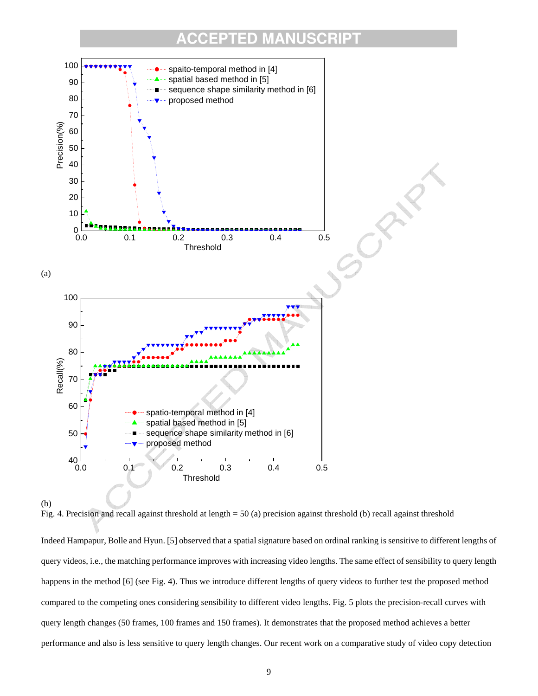

Fig. 4. Precision and recall against threshold at length = 50 (a) precision against threshold (b) recall against threshold

Indeed Hampapur, Bolle and Hyun. [5] observed that a spatial signature based on ordinal ranking is sensitive to different lengths of query videos, i.e., the matching performance improves with increasing video lengths. The same effect of sensibility to query length happens in the method [6] (see Fig. 4). Thus we introduce different lengths of query videos to further test the proposed method compared to the competing ones considering sensibility to different video lengths. Fig. 5 plots the precision-recall curves with query length changes (50 frames, 100 frames and 150 frames). It demonstrates that the proposed method achieves a better performance and also is less sensitive to query length changes. Our recent work on a comparative study of video copy detection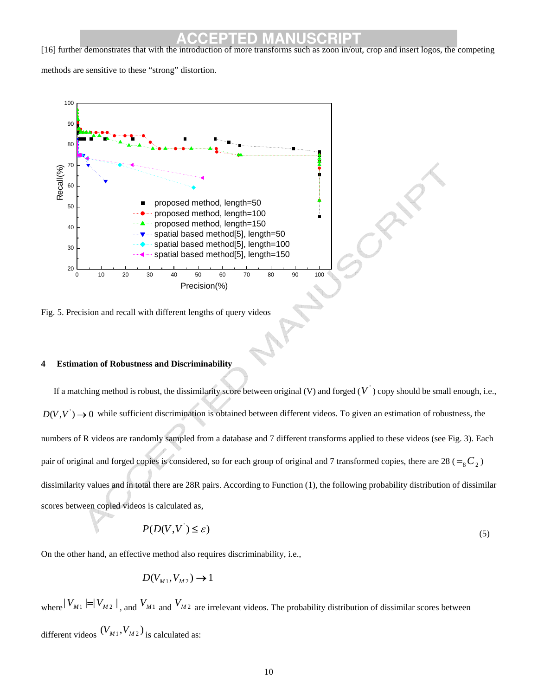**ACCEPTED MANUSCRIPT**<br>
[16] further demonstrates that with the introduction of more transforms such as zoon in/out, crop and insert logos, the competing

methods are sensitive to these "strong" distortion.



Fig. 5. Precision and recall with different lengths of query videos

### **4 Estimation of Robustness and Discriminability**

If a matching method is robust, the dissimilarity score between original (V) and forged  $(V)$  copy should be small enough, i.e.,  $D(V, V) \rightarrow 0$  while sufficient discrimination is obtained between different videos. To given an estimation of robustness, the numbers of R videos are randomly sampled from a database and 7 different transforms applied to these videos (see Fig. 3). Each pair of original and forged copies is considered, so for each group of original and 7 transformed copies, there are 28 ( $=_{8}C_{2}$ ) dissimilarity values and in total there are 28R pairs. According to Function (1), the following probability distribution of dissimilar scores between copied videos is calculated as,

$$
P(D(V, V^{\prime}) \le \varepsilon) \tag{5}
$$

On the other hand, an effective method also requires discriminability, i.e.,

$$
D(V_{M1},V_{M2}) \rightarrow 1
$$

where  $|V_{M1}| = |V_{M2}|$ , and  $V_{M1}$  and  $V_{M2}$  are irrelevant videos. The probability distribution of dissimilar scores between different videos  $(V_{M1}, V_{M2})$  is calculated as: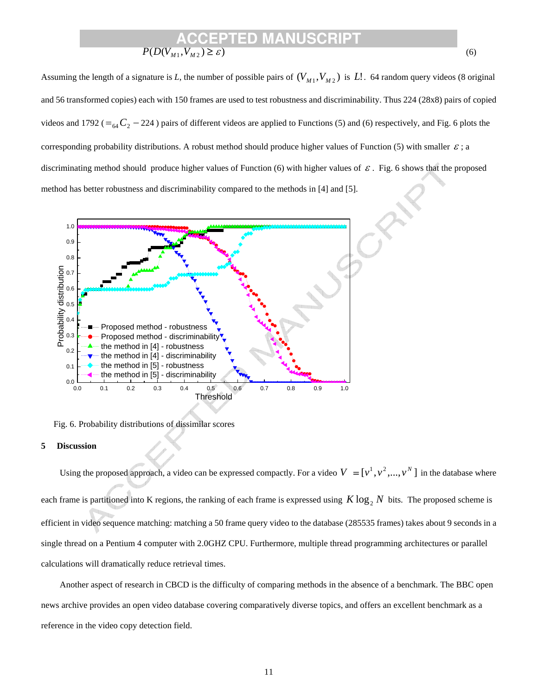### **ACCEPTED MANUSCRIPT**  $P(D(V_{M1}, V_{M2}) \geq \varepsilon)$  (6)

Assuming the length of a signature is *L*, the number of possible pairs of  $(V_{M1}, V_{M2})$  is *L*!. 64 random query videos (8 original and 56 transformed copies) each with 150 frames are used to test robustness and discriminability. Thus 224 (28x8) pairs of copied videos and 1792 ( $=_{64}C_2 - 224$ ) pairs of different videos are applied to Functions (5) and (6) respectively, and Fig. 6 plots the corresponding probability distributions. A robust method should produce higher values of Function (5) with smaller  $\varepsilon$ ; a discriminating method should produce higher values of Function (6) with higher values of  $\varepsilon$ . Fig. 6 shows that the proposed method has better robustness and discriminability compared to the methods in [4] and [5].



Fig. 6. Probability distributions of dissimilar scores

#### **5 Discussion**

Using the proposed approach, a video can be expressed compactly. For a video  $V = [v^1, v^2, ..., v^N]$  in the database where each frame is partitioned into K regions, the ranking of each frame is expressed using  $K \log_2 N$  bits. The proposed scheme is efficient in video sequence matching: matching a 50 frame query video to the database (285535 frames) takes about 9 seconds in a single thread on a Pentium 4 computer with 2.0GHZ CPU. Furthermore, multiple thread programming architectures or parallel calculations will dramatically reduce retrieval times.

Another aspect of research in CBCD is the difficulty of comparing methods in the absence of a benchmark. The BBC open news archive provides an open video database covering comparatively diverse topics, and offers an excellent benchmark as a reference in the video copy detection field.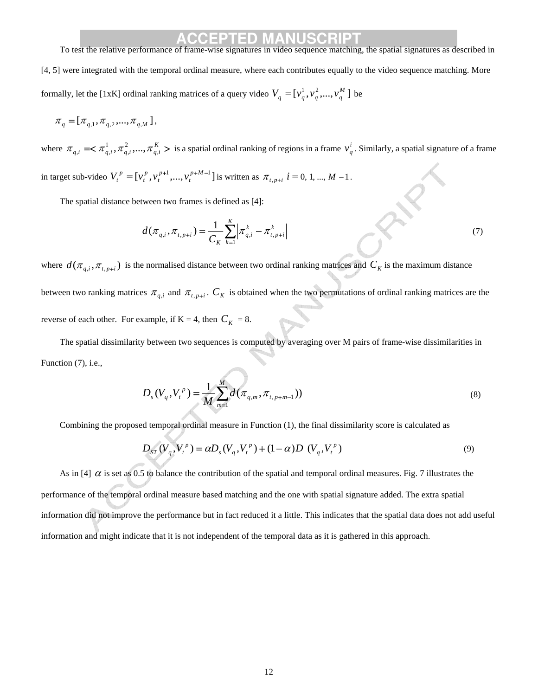## **ACCEPTED MANUSCRIPT**<br>To test the relative performance of frame-wise signatures in video sequence matching, the spatial signatures as described in

[4, 5] were integrated with the temporal ordinal measure, where each contributes equally to the video sequence matching. More formally, let the [1xK] ordinal ranking matrices of a query video  $V_q = [v_q^1, v_q^2, ..., v_q^M]$  be

$$
\pi_q = [\pi_{q,1}, \pi_{q,2}, ..., \pi_{q,M}],
$$

where  $\pi_{q,i} \ll \pi_{q,i}^1, \pi_{q,i}^2, ..., \pi_{q,i}^K$ 2 ,  $\pi_{q,i} \leq \pi_{q,i}^1, \pi_{q,i}^2, ..., \pi_{q,i}^K$  > is a spatial ordinal ranking of regions in a frame  $v_q^i$ . Similarly, a spatial signature of a frame in target sub-video  $V_t^p = [v_t^p, v_t^{p+1}, ..., v_t^{p+M-1}]$ *p t p t*  $V_t^p = [v_t^p, v_t^{p+1}, ..., v_t^{p+M-1}]$  is written as  $\pi_{t, p+i}$   $i = 0, 1, ..., M-1$ .

The spatial distance between two frames is defined as [4]:

$$
d(\pi_{q,i}, \pi_{t, p+i}) = \frac{1}{C_K} \sum_{k=1}^K \left| \pi_{q,i}^k - \pi_{t, p+i}^k \right|
$$
\n(7)

where  $d(\pi_{q,i}, \pi_{t,p+i})$  is the normalised distance between two ordinal ranking matrices and  $C_K$  is the maximum distance between two ranking matrices  $\pi_{q,i}$  and  $\pi_{t,p+i}$ .  $C_K$  is obtained when the two permutations of ordinal ranking matrices are the reverse of each other. For example, if  $K = 4$ , then  $C_K = 8$ .

The spatial dissimilarity between two sequences is computed by averaging over M pairs of frame-wise dissimilarities in Function (7), i.e.,

$$
D_s(V_q, V_t^p) = \frac{1}{M} \sum_{m=1}^{M} d(\pi_{q,m}, \pi_{t, p+m-1}))
$$
\n(8)

Combining the proposed temporal ordinal measure in Function (1), the final dissimilarity score is calculated as

$$
D_{ST}(V_q, V_t^p) = \alpha D_s(V_q, V_t^p) + (1 - \alpha)D(V_q, V_t^p)
$$
\n(9)

As in [4]  $\alpha$  is set as 0.5 to balance the contribution of the spatial and temporal ordinal measures. Fig. 7 illustrates the performance of the temporal ordinal measure based matching and the one with spatial signature added. The extra spatial information did not improve the performance but in fact reduced it a little. This indicates that the spatial data does not add useful information and might indicate that it is not independent of the temporal data as it is gathered in this approach.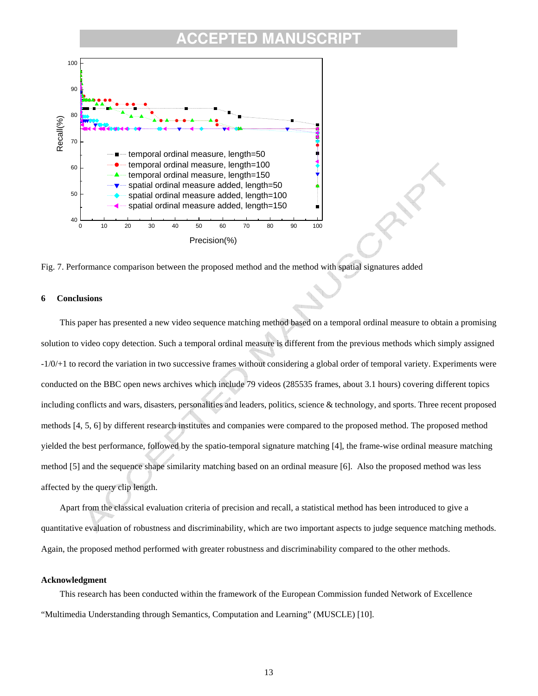### **CCEPTED MANUSCR**



Fig. 7. Performance comparison between the proposed method and the method with spatial signatures added

#### **6 Conclusions**

This paper has presented a new video sequence matching method based on a temporal ordinal measure to obtain a promising solution to video copy detection. Such a temporal ordinal measure is different from the previous methods which simply assigned -1/0/+1 to record the variation in two successive frames without considering a global order of temporal variety. Experiments were conducted on the BBC open news archives which include 79 videos (285535 frames, about 3.1 hours) covering different topics including conflicts and wars, disasters, personalities and leaders, politics, science & technology, and sports. Three recent proposed methods [4, 5, 6] by different research institutes and companies were compared to the proposed method. The proposed method yielded the best performance, followed by the spatio-temporal signature matching [4], the frame-wise ordinal measure matching method [5] and the sequence shape similarity matching based on an ordinal measure [6]. Also the proposed method was less affected by the query clip length.

Apart from the classical evaluation criteria of precision and recall, a statistical method has been introduced to give a quantitative evaluation of robustness and discriminability, which are two important aspects to judge sequence matching methods. Again, the proposed method performed with greater robustness and discriminability compared to the other methods.

#### **Acknowledgment**

This research has been conducted within the framework of the European Commission funded Network of Excellence "Multimedia Understanding through Semantics, Computation and Learning" (MUSCLE) [10].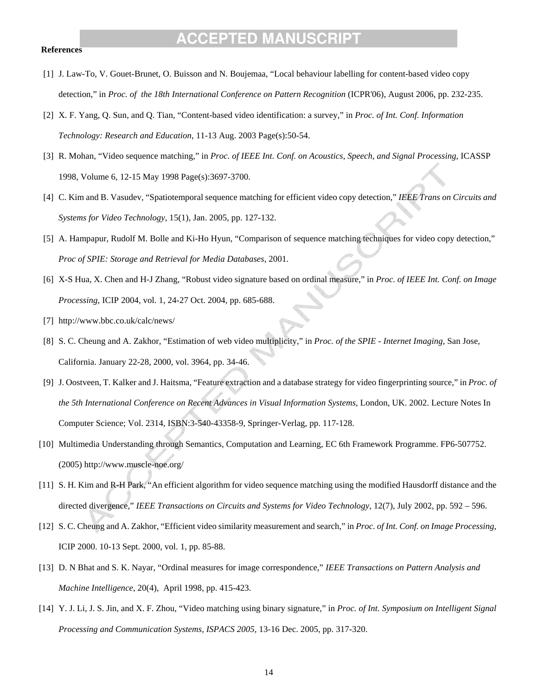#### **References**

- [1] J. Law-To, V. Gouet-Brunet, O. Buisson and N. Boujemaa, "Local behaviour labelling for content-based video copy detection," in *Proc. of the 18th International Conference on Pattern Recognition* (ICPR'06), August 2006, pp. 232-235.
- [2] X. F. Yang, Q. Sun, and Q. Tian, "Content-based video identification: a survey," in *Proc. of Int. Conf. Information Technology: Research and Education*, 11-13 Aug. 2003 Page(s):50-54.
- [3] R. Mohan, "Video sequence matching," in *Proc. of IEEE Int. Conf. on Acoustics, Speech, and Signal Processing*, ICASSP 1998, Volume 6, 12-15 May 1998 Page(s):3697-3700.
- [4] C. Kim and B. Vasudev, "Spatiotemporal sequence matching for efficient video copy detection," *IEEE Trans on Circuits and Systems for Video Technology*, 15(1), Jan. 2005, pp. 127-132.
- [5] A. Hampapur, Rudolf M. Bolle and Ki-Ho Hyun, "Comparison of sequence matching techniques for video copy detection," *Proc of SPIE: Storage and Retrieval for Media Databases*, 2001.
- [6] X-S Hua, X. Chen and H-J Zhang, "Robust video signature based on ordinal measure," in *Proc. of IEEE Int. Conf. on Image Processing*, ICIP 2004, vol. 1, 24-27 Oct. 2004, pp. 685-688.
- [7] http://www.bbc.co.uk/calc/news/
- [8] S. C. Cheung and A. Zakhor, "Estimation of web video multiplicity," in *Proc. of the SPIE Internet Imaging*, San Jose, California. January 22-28, 2000, vol. 3964, pp. 34-46.
- [9] J. Oostveen, T. Kalker and J. Haitsma, "Feature extraction and a database strategy for video fingerprinting source," in *Proc. of the 5th International Conference on Recent Advances in Visual Information Systems*, London, UK. 2002. Lecture Notes In Computer Science; Vol. 2314, ISBN:3-540-43358-9, Springer-Verlag, pp. 117-128.
- [10] Multimedia Understanding through Semantics, Computation and Learning, EC 6th Framework Programme. FP6-507752. (2005) http://www.muscle-noe.org/
- [11] S. H. Kim and R-H Park, "An efficient algorithm for video sequence matching using the modified Hausdorff distance and the directed divergence," *IEEE Transactions on Circuits and Systems for Video Technology*, 12(7), July 2002, pp. 592 – 596.
- [12] S. C. Cheung and A. Zakhor, "Efficient video similarity measurement and search," in *Proc. of Int. Conf. on Image Processing*, ICIP 2000. 10-13 Sept. 2000, vol. 1, pp. 85-88.
- [13] D. N Bhat and S. K. Nayar, "Ordinal measures for image correspondence," *IEEE Transactions on Pattern Analysis and Machine Intelligence*, 20(4), April 1998, pp. 415-423.
- [14] Y. J. Li, J. S. Jin, and X. F. Zhou, "Video matching using binary signature," in *Proc. of Int. Symposium on Intelligent Signal Processing and Communication Systems, ISPACS 2005,* 13-16 Dec. 2005, pp. 317-320.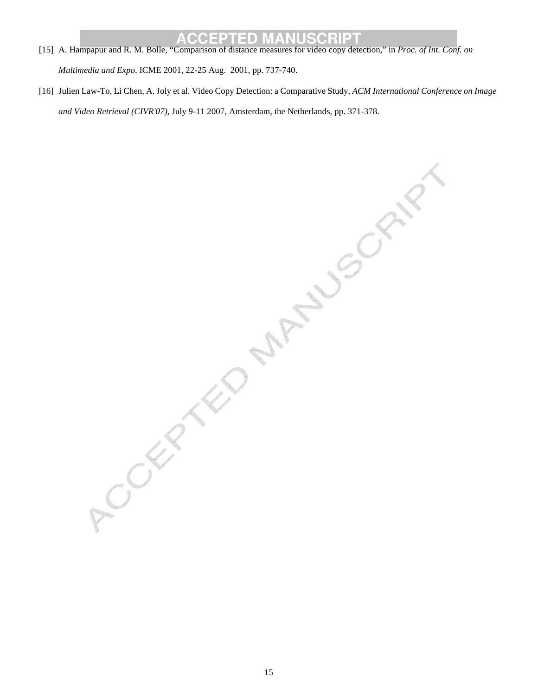- **ACCEPTED MANUSCRIPT**<br>
[15] A. Hampapur and R. M. Bolle, "Comparison of distance measures for video copy detection," in *Proc. of Int. Conf. on Multimedia and Expo,* ICME 2001, 22-25 Aug. 2001, pp. 737-740.
- [16] Julien Law-To, Li Chen, A. Joly et al. Video Copy Detection: a Comparative Study, *ACM International Conference on Image*

*and Video Retrieval (CIVR'07),* July 9-11-2007, Amsterdam, the Netherlands, pp. 371-378.<br>
And Contact Civil Civil Civil Civil Civil Civil Civil Civil Civil Civil Civil Civil Civil Civil Civil Civil Civil Civil Civil Civil